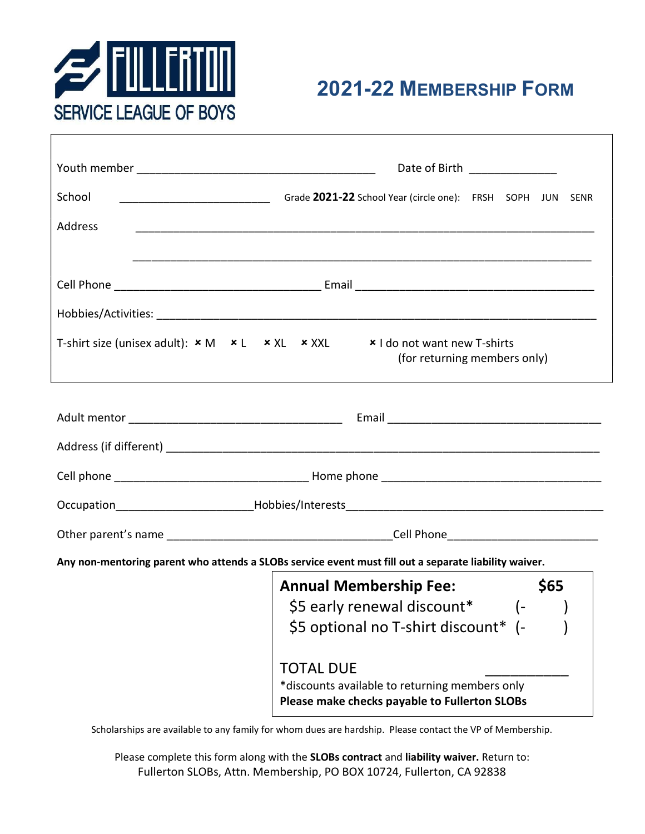

|         | Date of Birth ______________                                                                                        |
|---------|---------------------------------------------------------------------------------------------------------------------|
|         |                                                                                                                     |
| School  |                                                                                                                     |
| Address |                                                                                                                     |
|         |                                                                                                                     |
|         |                                                                                                                     |
|         |                                                                                                                     |
|         | T-shirt size (unisex adult): $x M x L x X L x X X L x X$   do not want new T-shirts<br>(for returning members only) |
|         |                                                                                                                     |
|         |                                                                                                                     |
|         |                                                                                                                     |
|         |                                                                                                                     |
|         |                                                                                                                     |
|         |                                                                                                                     |
|         | Any non-mentoring parent who attends a SLOBs service event must fill out a separate liability waiver.               |
|         | <b>Annual Membership Fee:</b><br>\$65                                                                               |
|         | \$5 early renewal discount*<br>$\left( -\right)$                                                                    |
|         | \$5 optional no T-shirt discount* (-                                                                                |
|         | <b>TOTAL DUE</b>                                                                                                    |
|         | *discounts available to returning members only<br>Please make checks payable to Fullerton SLOBs                     |

Scholarships are available to any family for whom dues are hardship. Please contact the VP of Membership.

Please complete this form along with the SLOBs contract and liability waiver. Return to: Fullerton SLOBs, Attn. Membership, PO BOX 10724, Fullerton, CA 92838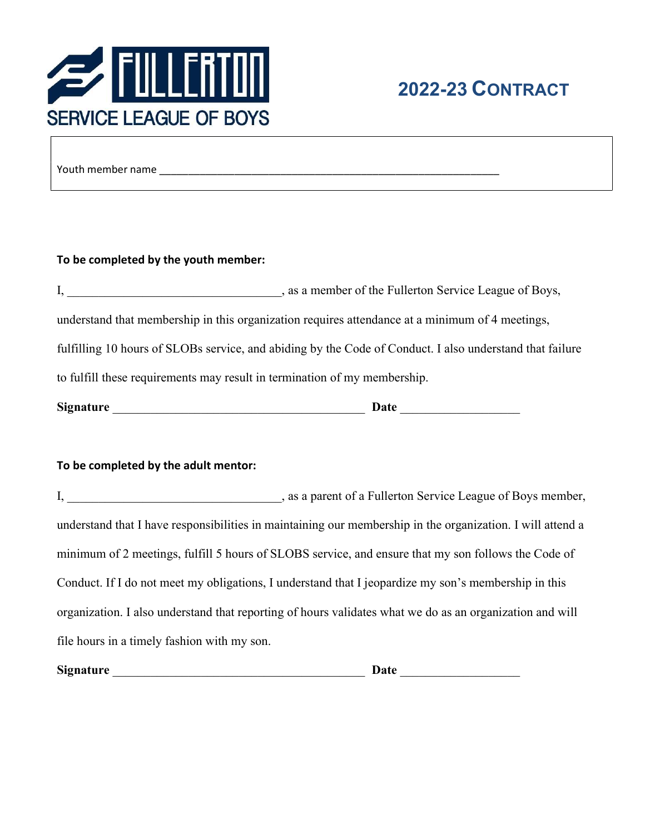

Youth member name \_\_\_\_\_\_\_\_\_\_\_\_\_\_\_\_\_\_\_\_\_\_\_\_\_\_\_\_\_\_\_\_\_\_\_\_\_\_\_\_\_\_\_\_\_\_\_\_\_\_\_\_\_\_\_\_\_\_\_

#### To be completed by the youth member:

|                                                                                                          | , as a member of the Fullerton Service League of Boys,                                          |  |
|----------------------------------------------------------------------------------------------------------|-------------------------------------------------------------------------------------------------|--|
|                                                                                                          | understand that membership in this organization requires attendance at a minimum of 4 meetings, |  |
| fulfilling 10 hours of SLOBs service, and abiding by the Code of Conduct. I also understand that failure |                                                                                                 |  |
| to fulfill these requirements may result in termination of my membership.                                |                                                                                                 |  |
| <b>Signature</b>                                                                                         | Date                                                                                            |  |

#### To be completed by the adult mentor:

|                                             | I, sa a parent of a Fullerton Service League of Boys member,                                               |
|---------------------------------------------|------------------------------------------------------------------------------------------------------------|
|                                             | understand that I have responsibilities in maintaining our membership in the organization. I will attend a |
|                                             | minimum of 2 meetings, fulfill 5 hours of SLOBS service, and ensure that my son follows the Code of        |
|                                             | Conduct. If I do not meet my obligations, I understand that I jeopardize my son's membership in this       |
|                                             | organization. I also understand that reporting of hours validates what we do as an organization and will   |
| file hours in a timely fashion with my son. |                                                                                                            |

Signature \_\_\_\_\_\_\_\_\_\_\_\_\_\_\_\_\_\_\_\_\_\_\_\_\_\_\_\_\_\_\_\_\_\_\_\_\_\_\_\_ Date \_\_\_\_\_\_\_\_\_\_\_\_\_\_\_\_\_\_\_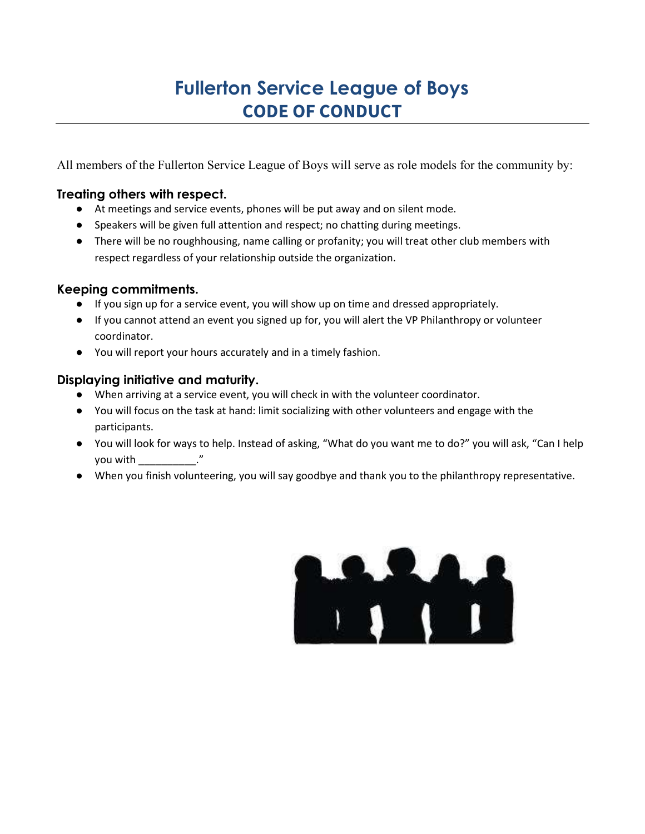# Fullerton Service League of Boys CODE OF CONDUCT

All members of the Fullerton Service League of Boys will serve as role models for the community by:

## Treating others with respect.

- At meetings and service events, phones will be put away and on silent mode.
- Speakers will be given full attention and respect; no chatting during meetings.
- There will be no roughhousing, name calling or profanity; you will treat other club members with respect regardless of your relationship outside the organization.

# Keeping commitments.

- If you sign up for a service event, you will show up on time and dressed appropriately.
- If you cannot attend an event you signed up for, you will alert the VP Philanthropy or volunteer coordinator.
- You will report your hours accurately and in a timely fashion.

# Displaying initiative and maturity.

- When arriving at a service event, you will check in with the volunteer coordinator.
- You will focus on the task at hand: limit socializing with other volunteers and engage with the participants.
- You will look for ways to help. Instead of asking, "What do you want me to do?" you will ask, "Can I help you with \_\_\_\_\_\_\_\_\_\_."
- When you finish volunteering, you will say goodbye and thank you to the philanthropy representative.